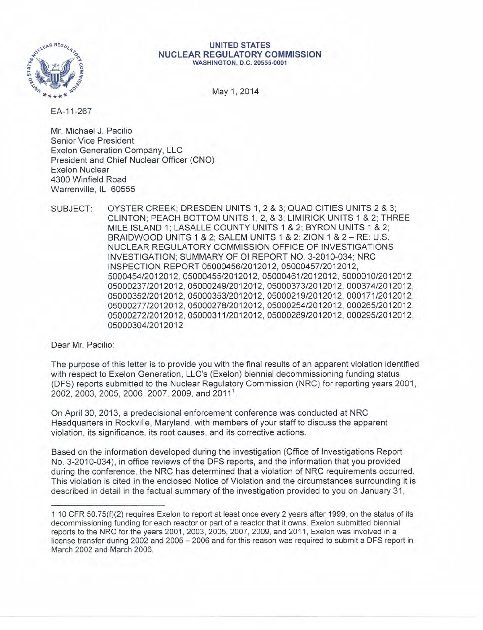

#### **UNITED STATES NUCLEAR REGULATORY COMMISSION** WASHINGTON, D.C. 20555-0001

May 1, 2014

EA-11-267

Mr. Michael J. Pacilio Senior Vice President Exelon Generation Company, LLC President and Chief Nuclear Officer (CNO) Exelon Nuclear 4300 Winfield Road Warrenville, IL 60555

SUBJECT: OYSTER CREEK; DRESDEN UNITS 1, 2 & 3; QUAD CITIES UNITS 2 & 3; CLINTON; PEACH BOTTOM UNITS 1,2, & 3; L1MIRICK UNITS 1 & 2; THREE MILE ISLAND 1; LASALLE COUNTY UNITS 1 & 2; BYRON UNITS 1 & 2; BRAIDWOOD UNITS 1 & 2; SALEM UNITS 1 & 2; ZION 1 & 2 - RE: U.S. NUCLEAR REGULATORY COMMISSION OFFICE OF INVESTIGATIONS INVESTIGATION; SUMMARY OF 01 REPORT NO. 3-2010-034; NRC INSPECTION REPORT *05000456/2012012, 05000457/2012012, 5000454/2012012, 05000455/2012012, 05000461/2012012, 5000010/2012012, 05000237/2012012, 05000249/2012012, 05000373/2012012, 000374/2012012, 05000352/2012012, 05000353/2012012, 05000219/2012012, 000171/2012012, 05000277/2012012, 05000278/2012012, 05000254/2012012, 000265/2012012, 05000272/2012012, 05000311/2012012, 05000289/2012012, 000295/2012012, 05000304/2012012*

Dear Mr. Pacilio:

The purpose of this letter is to provide you with the final results of an apparent violation identified with respect to Exelon Generation, LLC's (Exelon) biennial decommissioning funding status (DFS) reports submitted to the Nuclear Regulatory Commission (NRC) for reporting years 2001, 2002, 2003, 2005, 2006, 2007, 2009, and 2011

On April 30, 2013, a predecisional enforcement conference was conducted at NRC Headquarters in Rockville, Maryland, with members of your staff to discuss the apparent violation, its significance, its root causes, and its corrective actions.

Based on the information developed during the investigation (Office of Investigations Report No. 3-2010-034), in office reviews of the DFS reports, and the information that you provided during the conference, the NRC has determined that a violation of NRC requirements occurred. This violation is cited in the enclosed Notice of Violation and the circumstances surrounding it is described in detail in the factual summary of the investigation provided to you on January 31,

<sup>1</sup> 10 CFR 50.75(f)(2) requires Exelon to report at least once every 2 years after 1999, on the status of its decommissioning funding for each reactor or part of a reactor that it owns. Exelon submitted biennial reports to the NRC for the years 2001, 2003, 2005, 2007, 2009, and 2011, Exelon was involved in a license transfer during 2002 and 2005 - 2006 and for this reason was required to submit a DFS report in March 2002 and March 2006.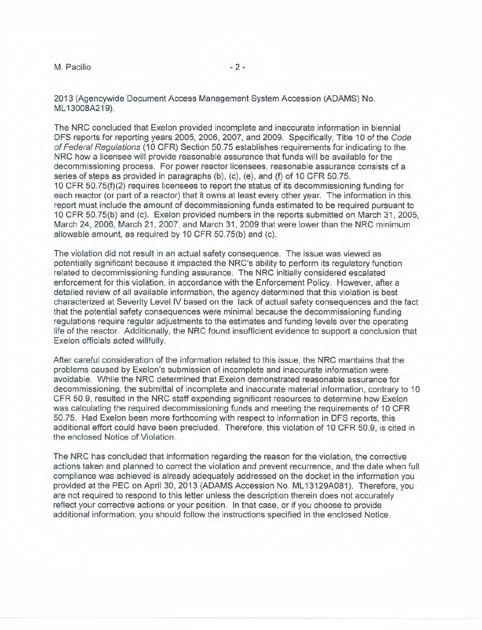M. Pacilio  $-2$  -

2013 (Agencywide Document Access Management System Accession (ADAMS) No. ML 1300BA219).

The NRC concluded that Exelon provided incomplete and inaccurate information in biennial DFS reports for reporting years 2005, 2006, 2007, and 2009. Specifically, Title 10 of the *Code of Federal Regulations* (10 CFR) Section 50.75 establishes requirements for indicating to the NRC how a licensee will provide reasonable assurance that funds will be available for the decommissioning process. For power reactor licensees, reasonable assurance consists of a series of steps as provided in paragraphs (b), (c), (e), and (f) of 10 CFR 50.75. 10 CFR 50.75(f)(2) requires licensees to report the status of its decommissioning funding for each reactor (or part of a reactor) that it owns at least every other year. The information in this report must include the amount of decommissioning funds estimated to be required pursuant to 10 CFR 50.75(b) and (c). Exelon provided numbers in the reports submitted on March 31, 2005, March 24, 2006, March 21, 2007, and March 31, 2009 that were lower than the NRC minimum allowable amount, as required by 10 CFR 50.75(b) and (c).

The violation did not result in an actual safety consequence. The issue was viewed as potentially significant because it impacted the NRC's ability to perform its regulatory function related to decommissioning funding assurance. The NRC initially considered escalated enforcement for this violation, in accordance with the Enforcement Policy. However, after a detailed review of all available information, the agency determined that this violation is best characterized at Severity Level IV based on the lack of actual safety consequences and the fact that the potential safety consequences were minimal because the decommissioning funding regulations require regular adjustments to the estimates and funding levels over the operating life of the reactor. Additionally, the NRC found insufficient evidence to support a conclusion that Exelon officials acted willfully.

After careful consideration of the information related to this issue, the NRC mantains that the problems caused by Exelon's submission of incomplete and inaccurate information were avoidable. While the NRC determined that Exelon demonstrated reasonable assurance for decommissioning, the submittal of incomplete and inaccurate material information, contrary to 10 CFR 50.9, resulted in the NRC staff expending significant resources to determine how Exelon was calculating the required decommissioning funds and meeting the requirements of 10 CFR 50.75. Had Exelon been more forthcoming with respect to information in DFS reports, this additional effort could have been precluded. Therefore, this violation of 10 CFR 50.9, is cited in the enclosed Notice of Violation.

The NRC has concluded that information regarding the reason for the violation, the corrective actions taken and planned to correct the violation and prevent recurrence, and the date when full compliance was achieved is already adequately addressed on the docket in the information you provided at the PEC on April 30, 2013 (ADAMS Accession No. ML 13129AOB1). Therefore, you are not required to respond to this letter unless the description therein does not accurately reflect your corrective actions or your position. In that case, or if you choose to provide additional information, you should follow the instructions specified in the enclosed Notice.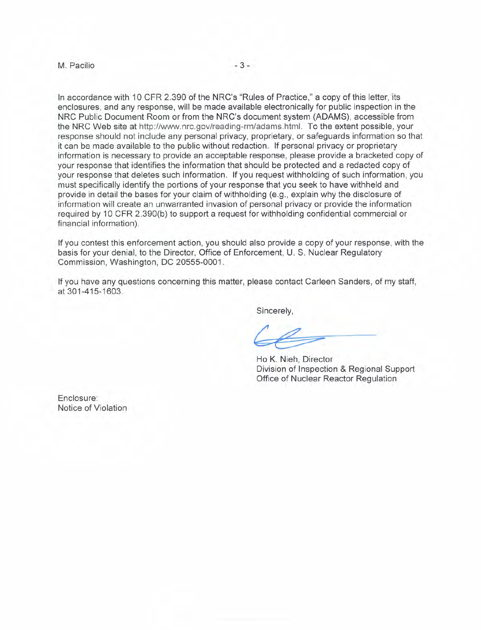#### M. Pacilio - 3 -

In accordance with 10 CFR 2.390 of the NRC's "Rules of Practice," a copy of this letter, its enclosures, and any response, will be made available electronically for public inspection in the NRC Public Document Room or from the NRC's document system (ADAMS), accessible from the NRC Web site at http://www.nrc.gov/reading-rm/adams.html. To the extent possible, your response should not include any personal privacy, proprietary, or safeguards information so that it can be made available to the public without redaction. If personal privacy or proprietary information is necessary to provide an acceptable response, please provide a bracketed copy of your response that identifies the information that should be protected and a redacted copy of your response that deletes such information. If you request withholding of such information, you must specifically identify the portions of your response that you seek to have withheld and provide in detail the bases for your claim of withholding (e.g., explain why the disclosure of information will create an unwarranted invasion of personal privacy or provide the information required by 10 CFR 2.390(b) to support a request for withholding confidential commercial or financial information).

If you contest this enforcement action, you should also provide a copy of your response, with the basis for your denial, to the Director, Office of Enforcement, U. S. Nuclear Regulatory Commission, Washington, DC 20555-0001.

If you have any questions concerning this matter, please contact Carleen Sanders, of my staff, at 301-415-1603.

Sincerely,

Ho K. Nieh, Director Division of Inspection & Regional Support Office of Nuclear Reactor Regulation

Enclosure: Notice of Violation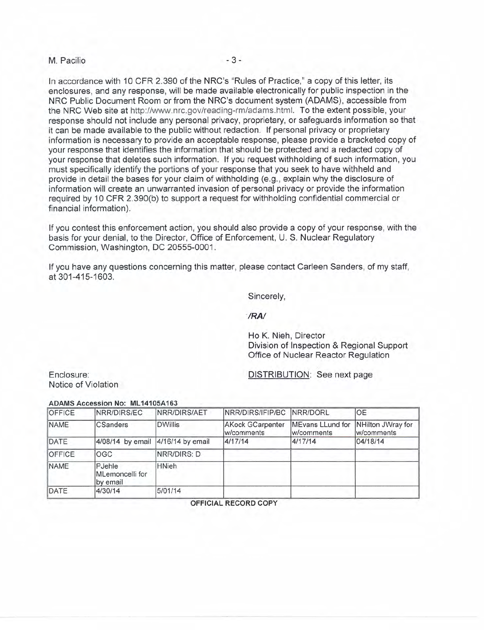# M. Pacilio - 3 -

In accordance with 10 CFR 2.390 of the NRC's "Rules of Practice," a copy of this letter, its enclosures, and any response, will be made available electronically for public inspection in the NRC Public Document Room or from the NRC's document system (ADAMS), accessible from the NRC Web site at http://www.nrc.gov/reading-rm/adams.html. To the extent possible, your response should not include any personal privacy, proprietary, or safeguards information so that it can be made available to the public without redaction. If personal privacy or proprietary information is necessary to provide an acceptable response, please provide a bracketed copy of your response that identifies the information that should be protected and a redacted copy of your response that deletes such information. If you request withholding of such information, you must specifically identify the portions of your response that you seek to have withheld and provide in detail the bases for your claim of withholding (e.g., explain why the disclosure of information will create an unwarranted invasion of personal privacy or provide the information required by 10 CFR 2.390(b) to support a request for withholding confidential commercial or financial information).

If you contest this enforcement action, you should also provide a copy of your response, with the basis for your denial, to the Director, Office of Enforcement, U. S. Nuclear Regulatory Commission, Washington, DC 20555-0001.

If you have any questions concerning this matter, please contact Carleen Sanders, of my staff, at 301-415-1603.

Sincerely,

*·IRAI*

Ho K. Nieh, Director Division of Inspection & Regional Support Office of Nuclear Reactor Regulation

Enclosure: Notice of Violation DISTRIBUTION: See next page

### ADAMS Accession No: ML14105A163

| OFFICE | NRR/DIRS/EC                           | NRR/DIRS/AET   | NRR/DIRS/IFIP/BC NRR/DORL             |                                | <b>OE</b>                       |
|--------|---------------------------------------|----------------|---------------------------------------|--------------------------------|---------------------------------|
| NAME   | <b>CSanders</b>                       | <b>DWillis</b> | <b>AKock GCarpenter</b><br>w/comments | MEvans LLund for<br>w/comments | NHilton JWray for<br>w/comments |
| DATE   | 4/08/14 by email 4/16/14 by email     |                | 4/17/14                               | 4/17/14                        | 04/18/14                        |
| OFFICE | <b>OGC</b>                            | NRR/DIRS: D    |                                       |                                |                                 |
| NAME   | PJehle<br>MLemoncelli for<br>by email | <b>HNieh</b>   |                                       |                                |                                 |
| DATE   | 4/30/14                               | 5/01/14        |                                       |                                |                                 |

OFFICIAL RECORD COPY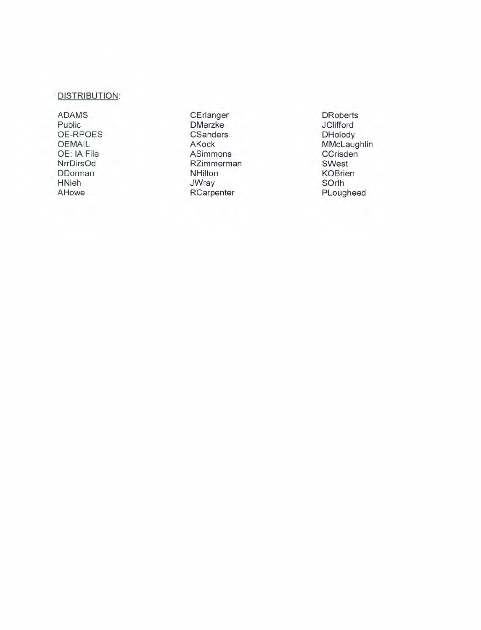## DISTRIBUTION :

ADAMS Public OE-RPOES OEMAIL OE : IA File NrrDirsOd DDo rman HNieh AHowe

**CErlanger DMerzke CSanders** AKock ASimmons RZimmerman **NHilton** JWray **RCarpenter** 

**DRoberts JClifford DHolody** MMcLaughlin **CCrisden** SWest KOBrien SOrth PLougheed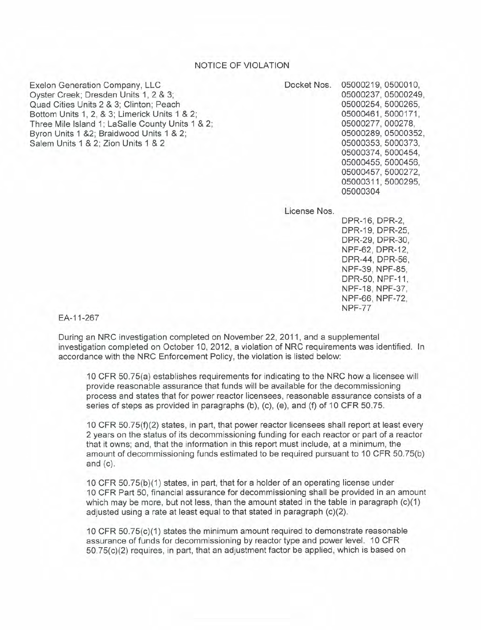## NOTICE OF VIOLATION

Exelon Generation Company, LLC Oyster Creek; Dresden Units 1, 2 & 3; Quad Cities Units 2 & 3; Clinton; Peach Bottom Units 1, 2, & 3; Limerick Units 1 & 2; Three Mile Island 1; LaSalle County Units 1 & 2; Byron Units 1 &2; Braidwood Units 1 & 2; Salem Units 1 & 2; Zion Units 1 & 2

Docket Nos. 05000219, 0500010, 05000237,05000249, 05000254, 5000265, 05000461,5000171, 05000277, 000278, 05000289, 05000352, 05000353, 5000373, 05000374, 5000454, 05000455, 5000456, 05000457, 5000272, 05000311,5000295, 05000304

License Nos.

DPR-16, DPR-2, DPR-19, DPR-25, DPR-29, DPR-30, NPF-62, DPR-12, DPR-44, DPR-56, NPF-39, NPF-85, DPR-50, NPF-11, NPF-18, NPF-37, NPF-66, NPF-72, NPF-77

EA-11-267

During an NRC investigation completed on November 22, 2011, and a supplemental investigation completed on October 10, 2012, a violation of NRC requirements was identified. In accordance with the NRC Enforcement Policy, the violation is listed below:

10 CFR 50.75(a) establishes requirements for indicating to the NRC how a licensee will provide reasonable assurance that funds will be available for the decommissioning process and states that for power reactor licensees, reasonable assurance consists of a series of steps as provided in paragraphs (b), (c), (e), and (f) of 10 CFR 50.75.

10 CFR 50.75(f)(2) states, in part, that power reactor licensees shall report at least every 2 years on the status of its decommissioning funding for each reactor or part of a reactor that it owns; and, that the information in this report must include, at a minimum, the amount of decommissioning funds estimated to be required pursuant to 10 CFR 50.75(b) and (c).

10 CFR 50.75(b)(1) states, in part, that for a holder of an operating license under 10 CFR Part 50, financial assurance for decommissioning shall be provided in an amount which may be more, but not less, than the amount stated in the table in paragraph  $(c)(1)$ adjusted using a rate at least equal to that stated in paragraph (c)(2).

10 CFR 50.75(c)(1) states the minimum amount required to demonstrate reasonable assurance of funds for decommissioning by reactor type and power level. 10 CFR 50.75(c)(2) requires, in part, that an adjustment factor be applied, which is based on